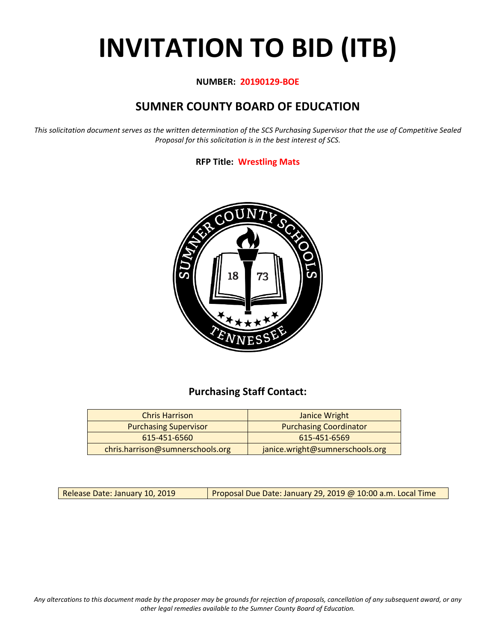# **INVITATION TO BID (ITB)**

## **NUMBER: 20190129-BOE**

# **SUMNER COUNTY BOARD OF EDUCATION**

*This solicitation document serves as the written determination of the SCS Purchasing Supervisor that the use of Competitive Sealed Proposal for this solicitation is in the best interest of SCS.*

# **RFP Title: Wrestling Mats**



# **Purchasing Staff Contact:**

| <b>Chris Harrison</b>            | Janice Wright                   |
|----------------------------------|---------------------------------|
| <b>Purchasing Supervisor</b>     | <b>Purchasing Coordinator</b>   |
| 615-451-6560                     | 615-451-6569                    |
| chris.harrison@sumnerschools.org | janice.wright@sumnerschools.org |

Release Date: January 10, 2019 | Proposal Due Date: January 29, 2019 @ 10:00 a.m. Local Time

*Any altercations to this document made by the proposer may be grounds for rejection of proposals, cancellation of any subsequent award, or any other legal remedies available to the Sumner County Board of Education.*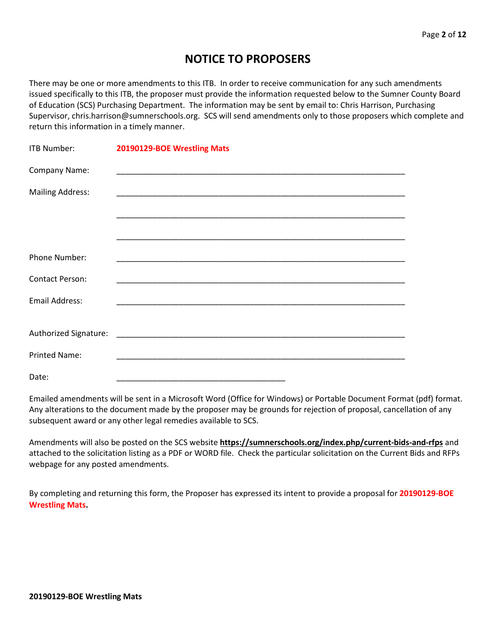# **NOTICE TO PROPOSERS**

There may be one or more amendments to this ITB. In order to receive communication for any such amendments issued specifically to this ITB, the proposer must provide the information requested below to the Sumner County Board of Education (SCS) Purchasing Department. The information may be sent by email to: Chris Harrison, Purchasing Supervisor, chris.harrison@sumnerschools.org. SCS will send amendments only to those proposers which complete and return this information in a timely manner.

| <b>ITB Number:</b>      | 20190129-BOE Wrestling Mats |
|-------------------------|-----------------------------|
| Company Name:           |                             |
| <b>Mailing Address:</b> |                             |
|                         |                             |
|                         |                             |
| Phone Number:           |                             |
| <b>Contact Person:</b>  |                             |
| Email Address:          |                             |
|                         |                             |
|                         |                             |
| <b>Printed Name:</b>    |                             |
| Date:                   |                             |

Emailed amendments will be sent in a Microsoft Word (Office for Windows) or Portable Document Format (pdf) format. Any alterations to the document made by the proposer may be grounds for rejection of proposal, cancellation of any subsequent award or any other legal remedies available to SCS.

Amendments will also be posted on the SCS website **https://sumnerschools.org/index.php/current-bids-and-rfps** and attached to the solicitation listing as a PDF or WORD file. Check the particular solicitation on the Current Bids and RFPs webpage for any posted amendments.

By completing and returning this form, the Proposer has expressed its intent to provide a proposal for **20190129-BOE Wrestling Mats.**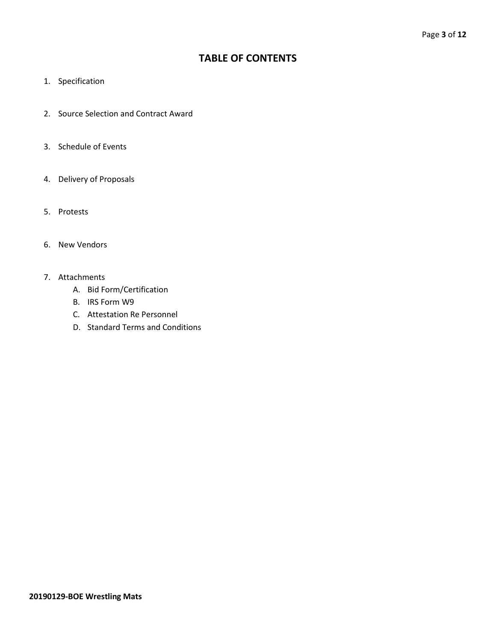# **TABLE OF CONTENTS**

- 1. Specification
- 2. Source Selection and Contract Award
- 3. Schedule of Events
- 4. Delivery of Proposals
- 5. Protests
- 6. New Vendors
- 7. Attachments
	- A. Bid Form/Certification
	- B. IRS Form W9
	- C. Attestation Re Personnel
	- D. Standard Terms and Conditions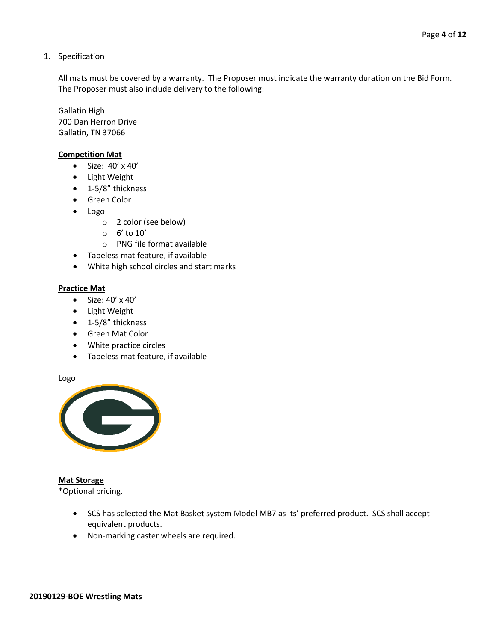1. Specification

All mats must be covered by a warranty. The Proposer must indicate the warranty duration on the Bid Form. The Proposer must also include delivery to the following:

Gallatin High 700 Dan Herron Drive Gallatin, TN 37066

#### **Competition Mat**

- Size: 40' x 40'
- Light Weight
- 1-5/8" thickness
- Green Color
- Logo
	- o 2 color (see below)
	- o 6' to 10'
	- o PNG file format available
- Tapeless mat feature, if available
- White high school circles and start marks

#### **Practice Mat**

- Size: 40' x 40'
- Light Weight
- 1-5/8" thickness
- Green Mat Color
- White practice circles
- Tapeless mat feature, if available

Logo



#### **Mat Storage**

\*Optional pricing.

- SCS has selected the Mat Basket system Model MB7 as its' preferred product. SCS shall accept equivalent products.
- Non-marking caster wheels are required.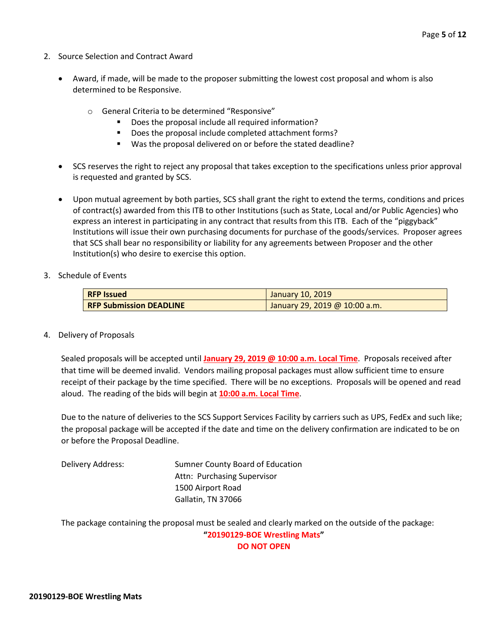- 2. Source Selection and Contract Award
	- Award, if made, will be made to the proposer submitting the lowest cost proposal and whom is also determined to be Responsive.
		- o General Criteria to be determined "Responsive"
			- Does the proposal include all required information?
			- Does the proposal include completed attachment forms?
			- Was the proposal delivered on or before the stated deadline?
	- SCS reserves the right to reject any proposal that takes exception to the specifications unless prior approval is requested and granted by SCS.
	- Upon mutual agreement by both parties, SCS shall grant the right to extend the terms, conditions and prices of contract(s) awarded from this ITB to other Institutions (such as State, Local and/or Public Agencies) who express an interest in participating in any contract that results from this ITB. Each of the "piggyback" Institutions will issue their own purchasing documents for purchase of the goods/services. Proposer agrees that SCS shall bear no responsibility or liability for any agreements between Proposer and the other Institution(s) who desire to exercise this option.
- 3. Schedule of Events

| <b>RFP Issued</b>              | January 10, 2019              |
|--------------------------------|-------------------------------|
| <b>RFP Submission DEADLINE</b> | January 29, 2019 @ 10:00 a.m. |

4. Delivery of Proposals

Sealed proposals will be accepted until **January 29, 2019 @ 10:00 a.m. Local Time**. Proposals received after that time will be deemed invalid. Vendors mailing proposal packages must allow sufficient time to ensure receipt of their package by the time specified. There will be no exceptions. Proposals will be opened and read aloud. The reading of the bids will begin at **10:00 a.m. Local Time**.

Due to the nature of deliveries to the SCS Support Services Facility by carriers such as UPS, FedEx and such like; the proposal package will be accepted if the date and time on the delivery confirmation are indicated to be on or before the Proposal Deadline.

Delivery Address: Sumner County Board of Education Attn: Purchasing Supervisor 1500 Airport Road Gallatin, TN 37066

The package containing the proposal must be sealed and clearly marked on the outside of the package: **"20190129-BOE Wrestling Mats" DO NOT OPEN**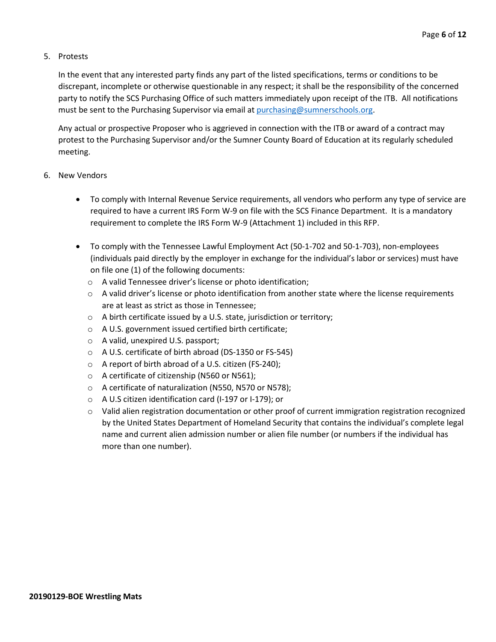## 5. Protests

In the event that any interested party finds any part of the listed specifications, terms or conditions to be discrepant, incomplete or otherwise questionable in any respect; it shall be the responsibility of the concerned party to notify the SCS Purchasing Office of such matters immediately upon receipt of the ITB. All notifications must be sent to the Purchasing Supervisor via email at [purchasing@sumnerschools.org.](mailto:purchasing@sumnerschools.org)

Any actual or prospective Proposer who is aggrieved in connection with the ITB or award of a contract may protest to the Purchasing Supervisor and/or the Sumner County Board of Education at its regularly scheduled meeting.

## 6. New Vendors

- To comply with Internal Revenue Service requirements, all vendors who perform any type of service are required to have a current IRS Form W-9 on file with the SCS Finance Department. It is a mandatory requirement to complete the IRS Form W-9 (Attachment 1) included in this RFP.
- To comply with the Tennessee Lawful Employment Act (50-1-702 and 50-1-703), non-employees (individuals paid directly by the employer in exchange for the individual's labor or services) must have on file one (1) of the following documents:
	- o A valid Tennessee driver's license or photo identification;
	- $\circ$  A valid driver's license or photo identification from another state where the license requirements are at least as strict as those in Tennessee;
	- o A birth certificate issued by a U.S. state, jurisdiction or territory;
	- o A U.S. government issued certified birth certificate;
	- o A valid, unexpired U.S. passport;
	- o A U.S. certificate of birth abroad (DS-1350 or FS-545)
	- o A report of birth abroad of a U.S. citizen (FS-240);
	- o A certificate of citizenship (N560 or N561);
	- o A certificate of naturalization (N550, N570 or N578);
	- o A U.S citizen identification card (I-197 or I-179); or
	- $\circ$  Valid alien registration documentation or other proof of current immigration registration recognized by the United States Department of Homeland Security that contains the individual's complete legal name and current alien admission number or alien file number (or numbers if the individual has more than one number).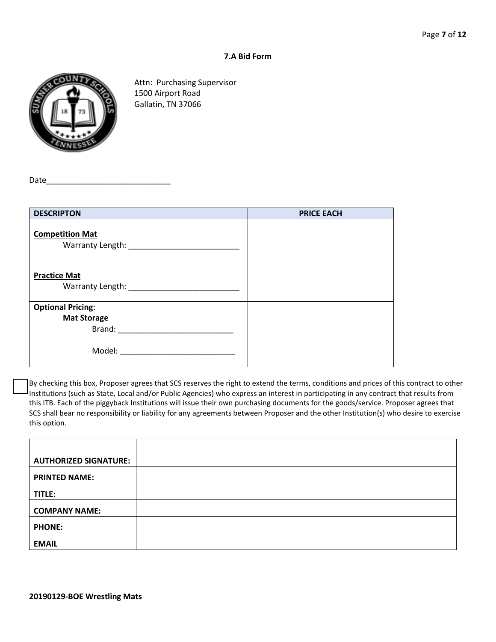### **7.A Bid Form**



Attn: Purchasing Supervisor 1500 Airport Road Gallatin, TN 37066

Date

| <b>DESCRIPTON</b>                                                                                                      | <b>PRICE EACH</b> |
|------------------------------------------------------------------------------------------------------------------------|-------------------|
| <b>Competition Mat</b>                                                                                                 |                   |
| <b>Practice Mat</b><br>Warranty Length: Warranty Length:                                                               |                   |
| <b>Optional Pricing:</b><br><b>Mat Storage</b><br>Brand:<br>Model:<br>the control of the control of the control of the |                   |

By checking this box, Proposer agrees that SCS reserves the right to extend the terms, conditions and prices of this contract to other Institutions (such as State, Local and/or Public Agencies) who express an interest in participating in any contract that results from this ITB. Each of the piggyback Institutions will issue their own purchasing documents for the goods/service. Proposer agrees that SCS shall bear no responsibility or liability for any agreements between Proposer and the other Institution(s) who desire to exercise this option.

| <b>AUTHORIZED SIGNATURE:</b> |  |
|------------------------------|--|
| <b>PRINTED NAME:</b>         |  |
| TITLE:                       |  |
| <b>COMPANY NAME:</b>         |  |
| <b>PHONE:</b>                |  |
| <b>EMAIL</b>                 |  |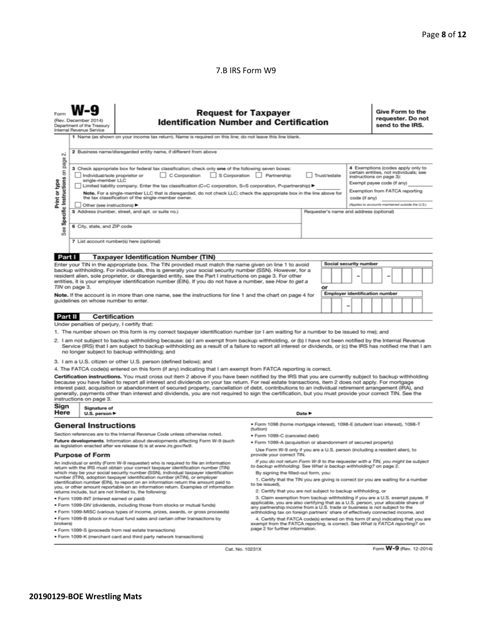#### 7.B IRS Form W9

| Form                                                                                                                                                                                                                                                                                                                         | <b>Request for Taxpayer</b><br>(Rev. December 2014)<br><b>Identification Number and Certification</b><br>Department of the Treasury<br>Internal Revenue Service                                                                                                                                                                                                                                                                                                                                                                          |                                                                                                                                                                                                                                                                                                                                                                                                                                                                                                                                                                                                                               |                                                                                                                                                                  | Give Form to the<br>requester. Do not<br>send to the IRS. |                                                                                                                                                                         |                                                   |  |  |
|------------------------------------------------------------------------------------------------------------------------------------------------------------------------------------------------------------------------------------------------------------------------------------------------------------------------------|------------------------------------------------------------------------------------------------------------------------------------------------------------------------------------------------------------------------------------------------------------------------------------------------------------------------------------------------------------------------------------------------------------------------------------------------------------------------------------------------------------------------------------------|-------------------------------------------------------------------------------------------------------------------------------------------------------------------------------------------------------------------------------------------------------------------------------------------------------------------------------------------------------------------------------------------------------------------------------------------------------------------------------------------------------------------------------------------------------------------------------------------------------------------------------|------------------------------------------------------------------------------------------------------------------------------------------------------------------|-----------------------------------------------------------|-------------------------------------------------------------------------------------------------------------------------------------------------------------------------|---------------------------------------------------|--|--|
|                                                                                                                                                                                                                                                                                                                              |                                                                                                                                                                                                                                                                                                                                                                                                                                                                                                                                          | 1 Name (as shown on your income tax return). Name is required on this line; do not leave this line blank.                                                                                                                                                                                                                                                                                                                                                                                                                                                                                                                     |                                                                                                                                                                  |                                                           |                                                                                                                                                                         |                                                   |  |  |
| οi                                                                                                                                                                                                                                                                                                                           | 2 Business name/disregarded entity name, if different from above                                                                                                                                                                                                                                                                                                                                                                                                                                                                         |                                                                                                                                                                                                                                                                                                                                                                                                                                                                                                                                                                                                                               |                                                                                                                                                                  |                                                           |                                                                                                                                                                         |                                                   |  |  |
| Specific Instructions on page<br>Print or type                                                                                                                                                                                                                                                                               | 3 Check appropriate box for federal tax classification; check only one of the following seven boxes:<br>C Corporation<br>S Corporation Partnership<br>Trust/estate<br>Individual/sole proprietor or<br>single-member LLC<br>  Limited liability company. Enter the tax classification (C=C corporation, S=S corporation, P=partnership) ▶<br>Note. For a single-member LLC that is disregarded, do not check LLC; check the appropriate box in the line above for<br>the tax classification of the single-member owner.<br>code (if any) |                                                                                                                                                                                                                                                                                                                                                                                                                                                                                                                                                                                                                               |                                                                                                                                                                  |                                                           | 4 Exemptions (codes apply only to<br>certain entities, not individuals; see<br>instructions on page 3):<br>Exempt payee code (if any)<br>Exemption from FATCA reporting |                                                   |  |  |
|                                                                                                                                                                                                                                                                                                                              | Other (see instructions)                                                                                                                                                                                                                                                                                                                                                                                                                                                                                                                 |                                                                                                                                                                                                                                                                                                                                                                                                                                                                                                                                                                                                                               |                                                                                                                                                                  |                                                           |                                                                                                                                                                         | (Applies to accounts maintained outside the U.S.) |  |  |
|                                                                                                                                                                                                                                                                                                                              | 5 Address (number, street, and apt. or suite no.)<br>Requester's name and address (optional)                                                                                                                                                                                                                                                                                                                                                                                                                                             |                                                                                                                                                                                                                                                                                                                                                                                                                                                                                                                                                                                                                               |                                                                                                                                                                  |                                                           |                                                                                                                                                                         |                                                   |  |  |
| See                                                                                                                                                                                                                                                                                                                          | 6 City, state, and ZIP code                                                                                                                                                                                                                                                                                                                                                                                                                                                                                                              |                                                                                                                                                                                                                                                                                                                                                                                                                                                                                                                                                                                                                               |                                                                                                                                                                  |                                                           |                                                                                                                                                                         |                                                   |  |  |
|                                                                                                                                                                                                                                                                                                                              |                                                                                                                                                                                                                                                                                                                                                                                                                                                                                                                                          | 7 List account number(s) here (optional)                                                                                                                                                                                                                                                                                                                                                                                                                                                                                                                                                                                      |                                                                                                                                                                  |                                                           |                                                                                                                                                                         |                                                   |  |  |
|                                                                                                                                                                                                                                                                                                                              |                                                                                                                                                                                                                                                                                                                                                                                                                                                                                                                                          | <b>Taxpayer Identification Number (TIN)</b>                                                                                                                                                                                                                                                                                                                                                                                                                                                                                                                                                                                   |                                                                                                                                                                  |                                                           |                                                                                                                                                                         |                                                   |  |  |
| Part I                                                                                                                                                                                                                                                                                                                       |                                                                                                                                                                                                                                                                                                                                                                                                                                                                                                                                          |                                                                                                                                                                                                                                                                                                                                                                                                                                                                                                                                                                                                                               |                                                                                                                                                                  |                                                           | Social security number                                                                                                                                                  |                                                   |  |  |
| Enter your TIN in the appropriate box. The TIN provided must match the name given on line 1 to avoid<br>backup withholding. For individuals, this is generally your social security number (SSN). However, for a<br>resident alien, sole proprietor, or disregarded entity, see the Part I instructions on page 3. For other |                                                                                                                                                                                                                                                                                                                                                                                                                                                                                                                                          |                                                                                                                                                                                                                                                                                                                                                                                                                                                                                                                                                                                                                               |                                                                                                                                                                  |                                                           |                                                                                                                                                                         |                                                   |  |  |
|                                                                                                                                                                                                                                                                                                                              | TIN on page 3.                                                                                                                                                                                                                                                                                                                                                                                                                                                                                                                           | entities, it is your employer identification number (EIN). If you do not have a number, see How to get a                                                                                                                                                                                                                                                                                                                                                                                                                                                                                                                      |                                                                                                                                                                  | or                                                        |                                                                                                                                                                         |                                                   |  |  |
|                                                                                                                                                                                                                                                                                                                              |                                                                                                                                                                                                                                                                                                                                                                                                                                                                                                                                          | Note. If the account is in more than one name, see the instructions for line 1 and the chart on page 4 for                                                                                                                                                                                                                                                                                                                                                                                                                                                                                                                    |                                                                                                                                                                  |                                                           |                                                                                                                                                                         | <b>Employer identification number</b>             |  |  |
|                                                                                                                                                                                                                                                                                                                              | guidelines on whose number to enter.                                                                                                                                                                                                                                                                                                                                                                                                                                                                                                     |                                                                                                                                                                                                                                                                                                                                                                                                                                                                                                                                                                                                                               |                                                                                                                                                                  |                                                           |                                                                                                                                                                         |                                                   |  |  |
| Part II                                                                                                                                                                                                                                                                                                                      | Certification                                                                                                                                                                                                                                                                                                                                                                                                                                                                                                                            |                                                                                                                                                                                                                                                                                                                                                                                                                                                                                                                                                                                                                               |                                                                                                                                                                  |                                                           |                                                                                                                                                                         |                                                   |  |  |
|                                                                                                                                                                                                                                                                                                                              | Under penalties of perjury, I certify that:                                                                                                                                                                                                                                                                                                                                                                                                                                                                                              |                                                                                                                                                                                                                                                                                                                                                                                                                                                                                                                                                                                                                               |                                                                                                                                                                  |                                                           |                                                                                                                                                                         |                                                   |  |  |
|                                                                                                                                                                                                                                                                                                                              |                                                                                                                                                                                                                                                                                                                                                                                                                                                                                                                                          | 1. The number shown on this form is my correct taxpayer identification number (or I am waiting for a number to be issued to me); and                                                                                                                                                                                                                                                                                                                                                                                                                                                                                          |                                                                                                                                                                  |                                                           |                                                                                                                                                                         |                                                   |  |  |
|                                                                                                                                                                                                                                                                                                                              |                                                                                                                                                                                                                                                                                                                                                                                                                                                                                                                                          | 2. I am not subject to backup withholding because: (a) I am exempt from backup withholding, or (b) I have not been notified by the Internal Revenue<br>Service (IRS) that I am subject to backup withholding as a result of a failure to report all interest or dividends, or (c) the IRS has notified me that I am<br>no longer subject to backup withholding; and                                                                                                                                                                                                                                                           |                                                                                                                                                                  |                                                           |                                                                                                                                                                         |                                                   |  |  |
| 3. I am a U.S. citizen or other U.S. person (defined below); and                                                                                                                                                                                                                                                             |                                                                                                                                                                                                                                                                                                                                                                                                                                                                                                                                          |                                                                                                                                                                                                                                                                                                                                                                                                                                                                                                                                                                                                                               |                                                                                                                                                                  |                                                           |                                                                                                                                                                         |                                                   |  |  |
|                                                                                                                                                                                                                                                                                                                              |                                                                                                                                                                                                                                                                                                                                                                                                                                                                                                                                          | 4. The FATCA code(s) entered on this form (if any) indicating that I am exempt from FATCA reporting is correct.                                                                                                                                                                                                                                                                                                                                                                                                                                                                                                               |                                                                                                                                                                  |                                                           |                                                                                                                                                                         |                                                   |  |  |
|                                                                                                                                                                                                                                                                                                                              | instructions on page 3.                                                                                                                                                                                                                                                                                                                                                                                                                                                                                                                  | Certification instructions. You must cross out item 2 above if you have been notified by the IRS that you are currently subject to backup withholding<br>because you have failed to report all interest and dividends on your tax return. For real estate transactions, item 2 does not apply. For mortgage<br>interest paid, acquisition or abandonment of secured property, cancellation of debt, contributions to an individual retirement arrangement (IRA), and<br>generally, payments other than interest and dividends, you are not required to sign the certification, but you must provide your correct TIN. See the |                                                                                                                                                                  |                                                           |                                                                                                                                                                         |                                                   |  |  |
| Sign<br>Here                                                                                                                                                                                                                                                                                                                 | Signature of<br>U.S. person $\blacktriangleright$                                                                                                                                                                                                                                                                                                                                                                                                                                                                                        |                                                                                                                                                                                                                                                                                                                                                                                                                                                                                                                                                                                                                               | Date P                                                                                                                                                           |                                                           |                                                                                                                                                                         |                                                   |  |  |
|                                                                                                                                                                                                                                                                                                                              | <b>General Instructions</b>                                                                                                                                                                                                                                                                                                                                                                                                                                                                                                              |                                                                                                                                                                                                                                                                                                                                                                                                                                                                                                                                                                                                                               | ● Form 1098 (home mortgage interest), 1098-E (student loan interest), 1098-T<br>(tuition)                                                                        |                                                           |                                                                                                                                                                         |                                                   |  |  |
| Section references are to the Internal Revenue Code unless otherwise noted.<br>Future developments. Information about developments affecting Form W-9 (such                                                                                                                                                                  |                                                                                                                                                                                                                                                                                                                                                                                                                                                                                                                                          | · Form 1099-C (canceled debt)                                                                                                                                                                                                                                                                                                                                                                                                                                                                                                                                                                                                 |                                                                                                                                                                  |                                                           |                                                                                                                                                                         |                                                   |  |  |
|                                                                                                                                                                                                                                                                                                                              |                                                                                                                                                                                                                                                                                                                                                                                                                                                                                                                                          | as legislation enacted after we release it) is at www.irs.gov/fw9.                                                                                                                                                                                                                                                                                                                                                                                                                                                                                                                                                            | · Form 1099-A (acquisition or abandonment of secured property)<br>Use Form W-9 only if you are a U.S. person (including a resident alien), to                    |                                                           |                                                                                                                                                                         |                                                   |  |  |
|                                                                                                                                                                                                                                                                                                                              | <b>Purpose of Form</b>                                                                                                                                                                                                                                                                                                                                                                                                                                                                                                                   |                                                                                                                                                                                                                                                                                                                                                                                                                                                                                                                                                                                                                               | provide your correct TIN.                                                                                                                                        |                                                           |                                                                                                                                                                         |                                                   |  |  |
|                                                                                                                                                                                                                                                                                                                              |                                                                                                                                                                                                                                                                                                                                                                                                                                                                                                                                          | An individual or entity (Form W-9 requester) who is required to file an information<br>return with the IRS must obtain your correct taxpayer identification number (TIN)                                                                                                                                                                                                                                                                                                                                                                                                                                                      | If you do not return Form W-9 to the requester with a TIN, you might be subject<br>to backup withholding. See What is backup withholding? on page 2.             |                                                           |                                                                                                                                                                         |                                                   |  |  |
|                                                                                                                                                                                                                                                                                                                              |                                                                                                                                                                                                                                                                                                                                                                                                                                                                                                                                          | which may be your social security number (SSN), individual taxpayer identification<br>number (ITIN), adoption taxpayer identification number (ATIN), or employer                                                                                                                                                                                                                                                                                                                                                                                                                                                              | By signing the filled-out form, you:<br>1. Certify that the TIN you are giving is correct (or you are waiting for a number                                       |                                                           |                                                                                                                                                                         |                                                   |  |  |
|                                                                                                                                                                                                                                                                                                                              |                                                                                                                                                                                                                                                                                                                                                                                                                                                                                                                                          | identification number (EIN), to report on an information return the amount paid to<br>you, or other amount reportable on an information return. Examples of information                                                                                                                                                                                                                                                                                                                                                                                                                                                       | to be issued).<br>2. Certify that you are not subject to backup withholding, or                                                                                  |                                                           |                                                                                                                                                                         |                                                   |  |  |
|                                                                                                                                                                                                                                                                                                                              | · Form 1099-INT (interest earned or paid)                                                                                                                                                                                                                                                                                                                                                                                                                                                                                                | returns include, but are not limited to, the following:                                                                                                                                                                                                                                                                                                                                                                                                                                                                                                                                                                       | 3. Claim exemption from backup withholding if you are a U.S. exempt payee. If                                                                                    |                                                           |                                                                                                                                                                         |                                                   |  |  |
|                                                                                                                                                                                                                                                                                                                              |                                                                                                                                                                                                                                                                                                                                                                                                                                                                                                                                          | . Form 1099-DIV (dividends, including those from stocks or mutual funds)                                                                                                                                                                                                                                                                                                                                                                                                                                                                                                                                                      | applicable, you are also certifying that as a U.S. person, your allocable share of<br>any partnership income from a U.S. trade or business is not subject to the |                                                           |                                                                                                                                                                         |                                                   |  |  |

· Form 1099-MISC (various types of income, prizes, awards, or gross proceeds)

. Form 1099-B (stock or mutual fund sales and certain other transactions by brokers)

· Form 1099-S (proceeds from real estate transactions)

. Form 1099-K (merchant card and third party network transactions)

any partnership income from a U.S. trade or business is not subject to the withholding tax on foreign partners' share of effectively connected income, and the Centric Acceles exercise of the correction of the exerce exempt

Cat. No. 10231X

Form W-9 (Rev. 12-2014)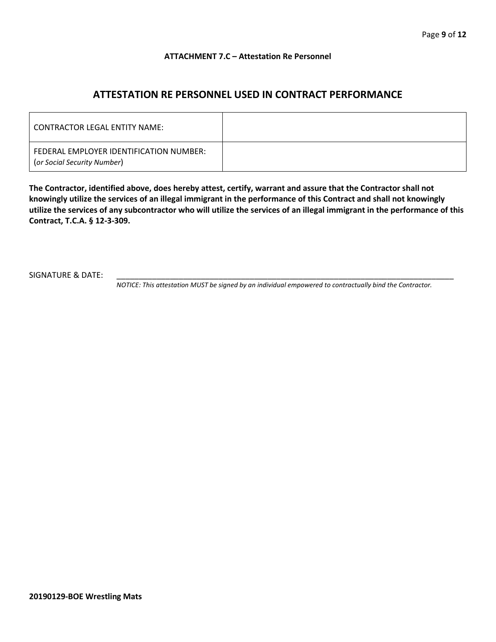## **ATTACHMENT 7.C – Attestation Re Personnel**

# **ATTESTATION RE PERSONNEL USED IN CONTRACT PERFORMANCE**

| CONTRACTOR LEGAL ENTITY NAME:                                          |  |
|------------------------------------------------------------------------|--|
| FEDERAL EMPLOYER IDENTIFICATION NUMBER:<br>(or Social Security Number) |  |

**The Contractor, identified above, does hereby attest, certify, warrant and assure that the Contractor shall not knowingly utilize the services of an illegal immigrant in the performance of this Contract and shall not knowingly utilize the services of any subcontractor who will utilize the services of an illegal immigrant in the performance of this Contract, T.C.A. § 12-3-309.**

SIGNATURE & DATE:

*NOTICE: This attestation MUST be signed by an individual empowered to contractually bind the Contractor.*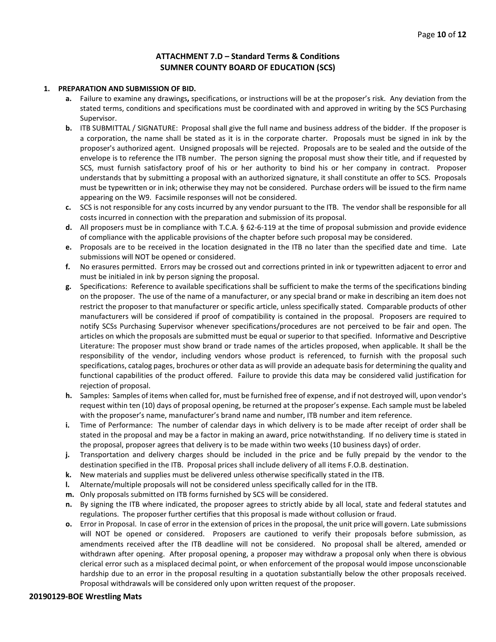## **ATTACHMENT 7.D – Standard Terms & Conditions SUMNER COUNTY BOARD OF EDUCATION (SCS)**

#### **1. PREPARATION AND SUBMISSION OF BID.**

- **a.** Failure to examine any drawings**,** specifications, or instructions will be at the proposer's risk. Any deviation from the stated terms, conditions and specifications must be coordinated with and approved in writing by the SCS Purchasing Supervisor.
- **b.** ITB SUBMITTAL / SIGNATURE: Proposal shall give the full name and business address of the bidder. If the proposer is a corporation, the name shall be stated as it is in the corporate charter. Proposals must be signed in ink by the proposer's authorized agent. Unsigned proposals will be rejected. Proposals are to be sealed and the outside of the envelope is to reference the ITB number. The person signing the proposal must show their title, and if requested by SCS, must furnish satisfactory proof of his or her authority to bind his or her company in contract. Proposer understands that by submitting a proposal with an authorized signature, it shall constitute an offer to SCS. Proposals must be typewritten or in ink; otherwise they may not be considered. Purchase orders will be issued to the firm name appearing on the W9. Facsimile responses will not be considered.
- **c.** SCS is not responsible for any costs incurred by any vendor pursuant to the ITB. The vendor shall be responsible for all costs incurred in connection with the preparation and submission of its proposal.
- **d.** All proposers must be in compliance with T.C.A. § 62-6-119 at the time of proposal submission and provide evidence of compliance with the applicable provisions of the chapter before such proposal may be considered.
- **e.** Proposals are to be received in the location designated in the ITB no later than the specified date and time. Late submissions will NOT be opened or considered.
- **f.** No erasures permitted. Errors may be crossed out and corrections printed in ink or typewritten adjacent to error and must be initialed in ink by person signing the proposal.
- **g.** Specifications: Reference to available specifications shall be sufficient to make the terms of the specifications binding on the proposer. The use of the name of a manufacturer, or any special brand or make in describing an item does not restrict the proposer to that manufacturer or specific article, unless specifically stated. Comparable products of other manufacturers will be considered if proof of compatibility is contained in the proposal. Proposers are required to notify SCSs Purchasing Supervisor whenever specifications/procedures are not perceived to be fair and open. The articles on which the proposals are submitted must be equal or superior to that specified. Informative and Descriptive Literature: The proposer must show brand or trade names of the articles proposed, when applicable. It shall be the responsibility of the vendor, including vendors whose product is referenced, to furnish with the proposal such specifications, catalog pages, brochures or other data as will provide an adequate basis for determining the quality and functional capabilities of the product offered. Failure to provide this data may be considered valid justification for rejection of proposal.
- **h.** Samples: Samples of items when called for, must be furnished free of expense, and if not destroyed will, upon vendor's request within ten (10) days of proposal opening, be returned at the proposer's expense. Each sample must be labeled with the proposer's name, manufacturer's brand name and number, ITB number and item reference.
- **i.** Time of Performance: The number of calendar days in which delivery is to be made after receipt of order shall be stated in the proposal and may be a factor in making an award, price notwithstanding. If no delivery time is stated in the proposal, proposer agrees that delivery is to be made within two weeks (10 business days) of order.
- **j.** Transportation and delivery charges should be included in the price and be fully prepaid by the vendor to the destination specified in the ITB. Proposal prices shall include delivery of all items F.O.B. destination.
- **k.** New materials and supplies must be delivered unless otherwise specifically stated in the ITB.
- **l.** Alternate/multiple proposals will not be considered unless specifically called for in the ITB.
- **m.** Only proposals submitted on ITB forms furnished by SCS will be considered.
- **n.** By signing the ITB where indicated, the proposer agrees to strictly abide by all local, state and federal statutes and regulations. The proposer further certifies that this proposal is made without collusion or fraud.
- **o.** Error in Proposal. In case of error in the extension of prices in the proposal, the unit price will govern. Late submissions will NOT be opened or considered. Proposers are cautioned to verify their proposals before submission, as amendments received after the ITB deadline will not be considered. No proposal shall be altered, amended or withdrawn after opening. After proposal opening, a proposer may withdraw a proposal only when there is obvious clerical error such as a misplaced decimal point, or when enforcement of the proposal would impose unconscionable hardship due to an error in the proposal resulting in a quotation substantially below the other proposals received. Proposal withdrawals will be considered only upon written request of the proposer.

#### **20190129-BOE Wrestling Mats**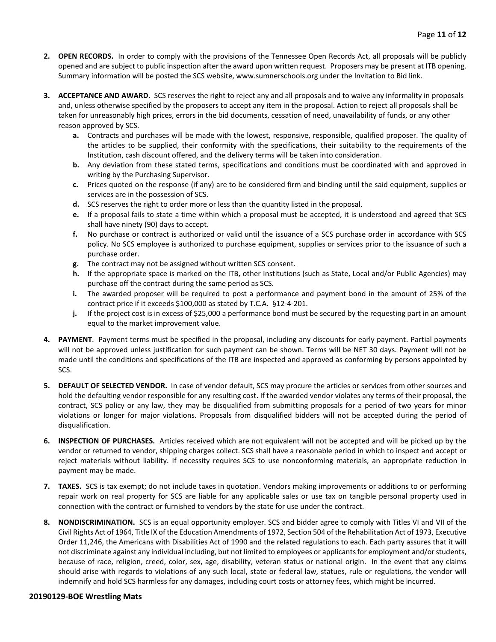- **2. OPEN RECORDS.** In order to comply with the provisions of the Tennessee Open Records Act, all proposals will be publicly opened and are subject to public inspection after the award upon written request. Proposers may be present at ITB opening. Summary information will be posted the SCS website, www.sumnerschools.org under the Invitation to Bid link.
- **3. ACCEPTANCE AND AWARD.** SCS reserves the right to reject any and all proposals and to waive any informality in proposals and, unless otherwise specified by the proposers to accept any item in the proposal. Action to reject all proposals shall be taken for unreasonably high prices, errors in the bid documents, cessation of need, unavailability of funds, or any other reason approved by SCS.
	- **a.** Contracts and purchases will be made with the lowest, responsive, responsible, qualified proposer. The quality of the articles to be supplied, their conformity with the specifications, their suitability to the requirements of the Institution, cash discount offered, and the delivery terms will be taken into consideration.
	- **b.** Any deviation from these stated terms, specifications and conditions must be coordinated with and approved in writing by the Purchasing Supervisor.
	- **c.** Prices quoted on the response (if any) are to be considered firm and binding until the said equipment, supplies or services are in the possession of SCS.
	- **d.** SCS reserves the right to order more or less than the quantity listed in the proposal.
	- **e.** If a proposal fails to state a time within which a proposal must be accepted, it is understood and agreed that SCS shall have ninety (90) days to accept.
	- **f.** No purchase or contract is authorized or valid until the issuance of a SCS purchase order in accordance with SCS policy. No SCS employee is authorized to purchase equipment, supplies or services prior to the issuance of such a purchase order.
	- **g.** The contract may not be assigned without written SCS consent.
	- **h.** If the appropriate space is marked on the ITB, other Institutions (such as State, Local and/or Public Agencies) may purchase off the contract during the same period as SCS.
	- **i.** The awarded proposer will be required to post a performance and payment bond in the amount of 25% of the contract price if it exceeds \$100,000 as stated by T.C.A. §12-4-201.
	- **j.** If the project cost is in excess of \$25,000 a performance bond must be secured by the requesting part in an amount equal to the market improvement value.
- **4. PAYMENT**. Payment terms must be specified in the proposal, including any discounts for early payment. Partial payments will not be approved unless justification for such payment can be shown. Terms will be NET 30 days. Payment will not be made until the conditions and specifications of the ITB are inspected and approved as conforming by persons appointed by SCS.
- **5. DEFAULT OF SELECTED VENDOR.** In case of vendor default, SCS may procure the articles or services from other sources and hold the defaulting vendor responsible for any resulting cost. If the awarded vendor violates any terms of their proposal, the contract, SCS policy or any law, they may be disqualified from submitting proposals for a period of two years for minor violations or longer for major violations. Proposals from disqualified bidders will not be accepted during the period of disqualification.
- **6. INSPECTION OF PURCHASES.** Articles received which are not equivalent will not be accepted and will be picked up by the vendor or returned to vendor, shipping charges collect. SCS shall have a reasonable period in which to inspect and accept or reject materials without liability. If necessity requires SCS to use nonconforming materials, an appropriate reduction in payment may be made.
- **7. TAXES.** SCS is tax exempt; do not include taxes in quotation. Vendors making improvements or additions to or performing repair work on real property for SCS are liable for any applicable sales or use tax on tangible personal property used in connection with the contract or furnished to vendors by the state for use under the contract.
- **8. NONDISCRIMINATION.** SCS is an equal opportunity employer. SCS and bidder agree to comply with Titles VI and VII of the Civil Rights Act of 1964, Title IX of the Education Amendments of 1972, Section 504 of the Rehabilitation Act of 1973, Executive Order 11,246, the Americans with Disabilities Act of 1990 and the related regulations to each. Each party assures that it will not discriminate against any individual including, but not limited to employees or applicants for employment and/or students, because of race, religion, creed, color, sex, age, disability, veteran status or national origin. In the event that any claims should arise with regards to violations of any such local, state or federal law, statues, rule or regulations, the vendor will indemnify and hold SCS harmless for any damages, including court costs or attorney fees, which might be incurred.

#### **20190129-BOE Wrestling Mats**